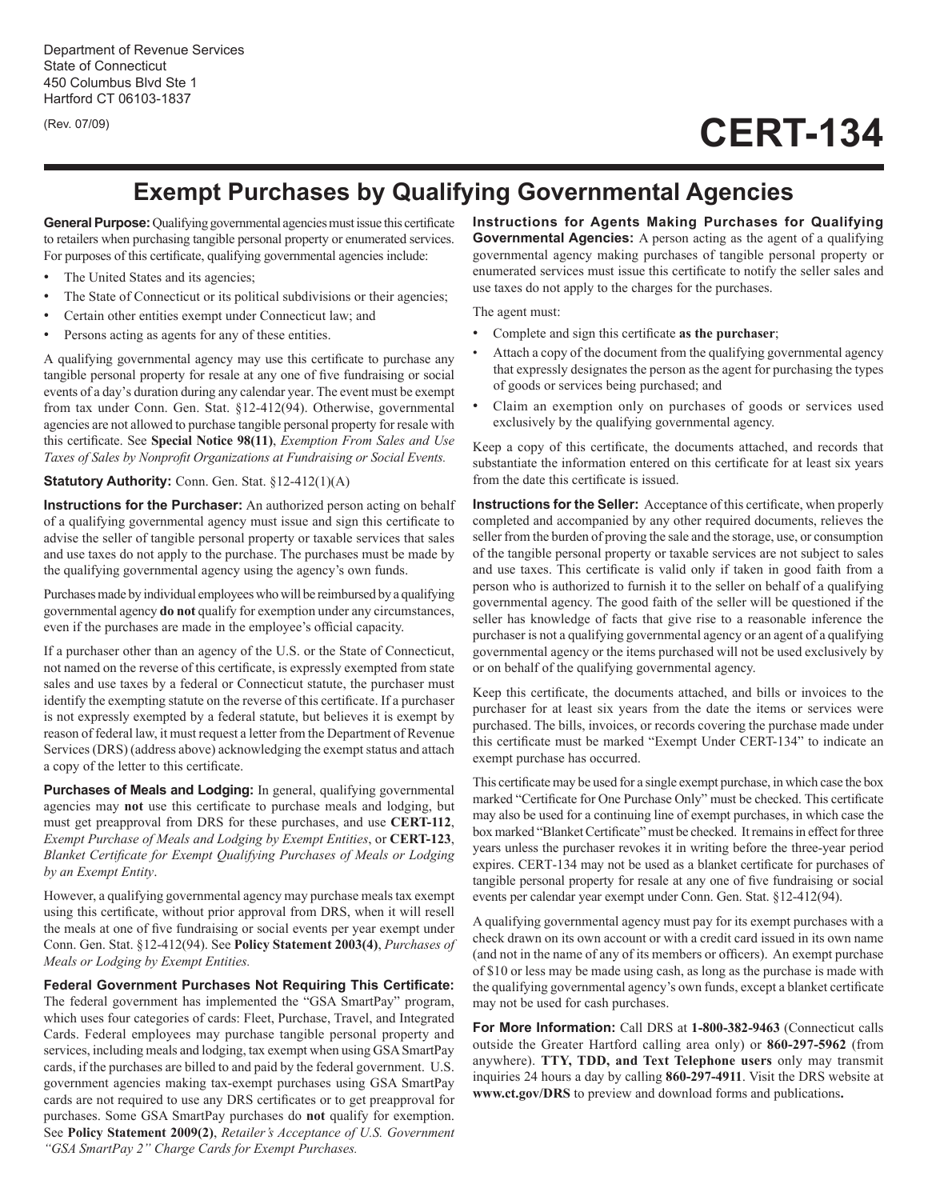(Rev. 07/09)

## **CERT-134**

## **Exempt Purchases by Qualifying Governmental Agencies**

**General Purpose:**Qualifying governmental agencies must issue this certificate to retailers when purchasing tangible personal property or enumerated services. For purposes of this certificate, qualifying governmental agencies include:

- The United States and its agencies;
- The State of Connecticut or its political subdivisions or their agencies;
- Certain other entities exempt under Connecticut law; and
- Persons acting as agents for any of these entities.

A qualifying governmental agency may use this certificate to purchase any tangible personal property for resale at any one of five fundraising or social events of a day's duration during any calendar year. The event must be exempt from tax under Conn. Gen. Stat. §12-412(94). Otherwise, governmental agencies are not allowed to purchase tangible personal property for resale with this certificate. See **Special Notice 98(11)**, *Exemption From Sales and Use Taxes of Sales by Nonprofit Organizations at Fundraising or Social Events.*

## **Statutory Authority:** Conn. Gen. Stat. §12-412(1)(A)

**Instructions for the Purchaser:** An authorized person acting on behalf of a qualifying governmental agency must issue and sign this certificate to advise the seller of tangible personal property or taxable services that sales and use taxes do not apply to the purchase. The purchases must be made by the qualifying governmental agency using the agency's own funds.

Purchases made by individual employees who will be reimbursed by a qualifying governmental agency **do not** qualify for exemption under any circumstances, even if the purchases are made in the employee's official capacity.

If a purchaser other than an agency of the U.S. or the State of Connecticut, not named on the reverse of this certificate, is expressly exempted from state sales and use taxes by a federal or Connecticut statute, the purchaser must identify the exempting statute on the reverse of this certificate. If a purchaser is not expressly exempted by a federal statute, but believes it is exempt by reason of federal law, it must request a letter from the Department of Revenue Services (DRS) (address above) acknowledging the exempt status and attach a copy of the letter to this certificate.

**Purchases of Meals and Lodging:** In general, qualifying governmental agencies may **not** use this certificate to purchase meals and lodging, but must get preapproval from DRS for these purchases, and use **CERT-112**, *Exempt Purchase of Meals and Lodging by Exempt Entities*, or **CERT-123**, *Blanket Certificate for Exempt Qualifying Purchases of Meals or Lodging by an Exempt Entity*.

However, a qualifying governmental agency may purchase meals tax exempt using this certificate, without prior approval from DRS, when it will resell the meals at one of five fundraising or social events per year exempt under Conn. Gen. Stat. §12-412(94). See **Policy Statement 2003(4)**, *Purchases of Meals or Lodging by Exempt Entities.*

**Federal Government Purchases Not Requiring This Certificate:**  The federal government has implemented the "GSA SmartPay" program, which uses four categories of cards: Fleet, Purchase, Travel, and Integrated Cards. Federal employees may purchase tangible personal property and services, including meals and lodging, tax exempt when using GSA SmartPay cards, if the purchases are billed to and paid by the federal government. U.S. government agencies making tax-exempt purchases using GSA SmartPay cards are not required to use any DRS certificates or to get preapproval for purchases. Some GSA SmartPay purchases do **not** qualify for exemption. See **Policy Statement 2009(2)**, *Retailer's Acceptance of U.S. Government "GSA SmartPay 2" Charge Cards for Exempt Purchases.*

**Instructions for Agents Making Purchases for Qualifying Governmental Agencies:** A person acting as the agent of a qualifying governmental agency making purchases of tangible personal property or enumerated services must issue this certificate to notify the seller sales and use taxes do not apply to the charges for the purchases.

The agent must:

- Complete and sign this certificate **as the purchaser**;
- Attach a copy of the document from the qualifying governmental agency that expressly designates the person as the agent for purchasing the types of goods or services being purchased; and
- Claim an exemption only on purchases of goods or services used exclusively by the qualifying governmental agency.

Keep a copy of this certificate, the documents attached, and records that substantiate the information entered on this certificate for at least six years from the date this certificate is issued.

**Instructions for the Seller:** Acceptance of this certificate, when properly completed and accompanied by any other required documents, relieves the seller from the burden of proving the sale and the storage, use, or consumption of the tangible personal property or taxable services are not subject to sales and use taxes. This certificate is valid only if taken in good faith from a person who is authorized to furnish it to the seller on behalf of a qualifying governmental agency. The good faith of the seller will be questioned if the seller has knowledge of facts that give rise to a reasonable inference the purchaser is not a qualifying governmental agency or an agent of a qualifying governmental agency or the items purchased will not be used exclusively by or on behalf of the qualifying governmental agency.

Keep this certificate, the documents attached, and bills or invoices to the purchaser for at least six years from the date the items or services were purchased. The bills, invoices, or records covering the purchase made under this certificate must be marked "Exempt Under CERT-134" to indicate an exempt purchase has occurred.

This certificate may be used for a single exempt purchase, in which case the box marked "Certificate for One Purchase Only" must be checked. This certificate may also be used for a continuing line of exempt purchases, in which case the box marked "Blanket Certificate" must be checked. It remains in effect for three years unless the purchaser revokes it in writing before the three-year period expires. CERT-134 may not be used as a blanket certificate for purchases of tangible personal property for resale at any one of five fundraising or social events per calendar year exempt under Conn. Gen. Stat. §12-412(94).

A qualifying governmental agency must pay for its exempt purchases with a check drawn on its own account or with a credit card issued in its own name (and not in the name of any of its members or officers). An exempt purchase of \$10 or less may be made using cash, as long as the purchase is made with the qualifying governmental agency's own funds, except a blanket certificate may not be used for cash purchases.

**For More Information:** Call DRS at **1-800-382-9463** (Connecticut calls outside the Greater Hartford calling area only) or **860-297-5962** (from anywhere). **TTY, TDD, and Text Telephone users** only may transmit inquiries 24 hours a day by calling **860-297-4911**. Visit the DRS website at **www.ct.gov/DRS** to preview and download forms and publications**.**